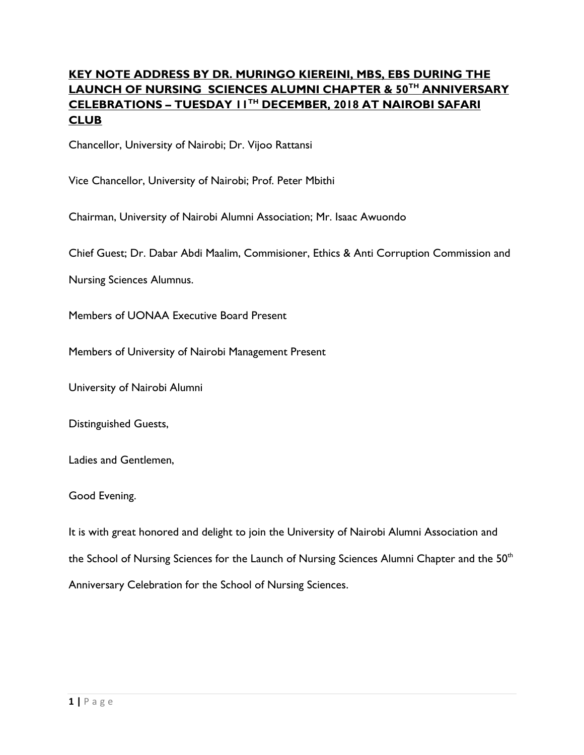# **KEY NOTE ADDRESS BY DR. MURINGO KIEREINI, MBS, EBS DURING THE LAUNCH OF NURSING SCIENCES ALUMNI CHAPTER & 50TH ANNIVERSARY CELEBRATIONS – TUESDAY 11TH DECEMBER, 2018 AT NAIROBI SAFARI CLUB**

Chancellor, University of Nairobi; Dr. Vijoo Rattansi

Vice Chancellor, University of Nairobi; Prof. Peter Mbithi

Chairman, University of Nairobi Alumni Association; Mr. Isaac Awuondo

Chief Guest; Dr. Dabar Abdi Maalim, Commisioner, Ethics & Anti Corruption Commission and

Nursing Sciences Alumnus.

Members of UONAA Executive Board Present

Members of University of Nairobi Management Present

University of Nairobi Alumni

Distinguished Guests,

Ladies and Gentlemen,

#### Good Evening.

It is with great honored and delight to join the University of Nairobi Alumni Association and the School of Nursing Sciences for the Launch of Nursing Sciences Alumni Chapter and the 50<sup>th</sup> Anniversary Celebration for the School of Nursing Sciences.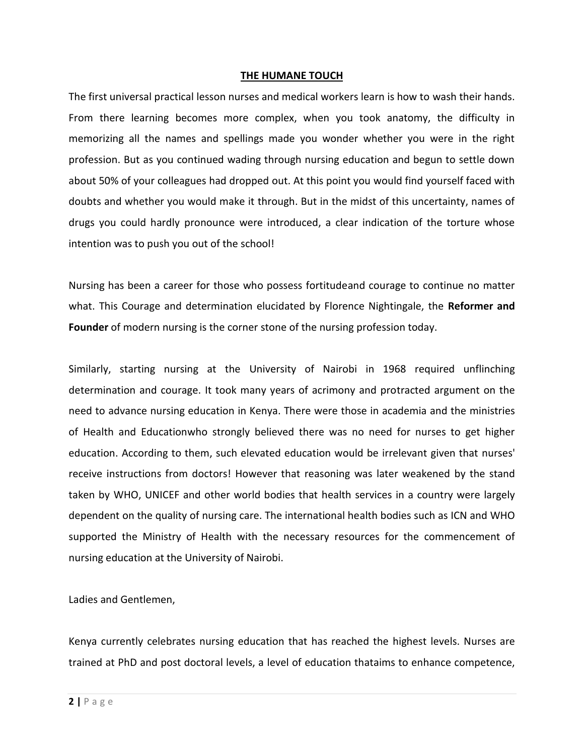#### **THE HUMANE TOUCH**

The first universal practical lesson nurses and medical workers learn is how to wash their hands. From there learning becomes more complex, when you took anatomy, the difficulty in memorizing all the names and spellings made you wonder whether you were in the right profession. But as you continued wading through nursing education and begun to settle down about 50% of your colleagues had dropped out. At this point you would find yourself faced with doubts and whether you would make it through. But in the midst of this uncertainty, names of drugs you could hardly pronounce were introduced, a clear indication of the torture whose intention was to push you out of the school!

Nursing has been a career for those who possess fortitudeand courage to continue no matter what. This Courage and determination elucidated by Florence Nightingale, the **Reformer and Founder** of modern nursing is the corner stone of the nursing profession today.

Similarly, starting nursing at the University of Nairobi in 1968 required unflinching determination and courage. It took many years of acrimony and protracted argument on the need to advance nursing education in Kenya. There were those in academia and the ministries of Health and Educationwho strongly believed there was no need for nurses to get higher education. According to them, such elevated education would be irrelevant given that nurses' receive instructions from doctors! However that reasoning was later weakened by the stand taken by WHO, UNICEF and other world bodies that health services in a country were largely dependent on the quality of nursing care. The international health bodies such as ICN and WHO supported the Ministry of Health with the necessary resources for the commencement of nursing education at the University of Nairobi.

Ladies and Gentlemen,

Kenya currently celebrates nursing education that has reached the highest levels. Nurses are trained at PhD and post doctoral levels, a level of education thataims to enhance competence,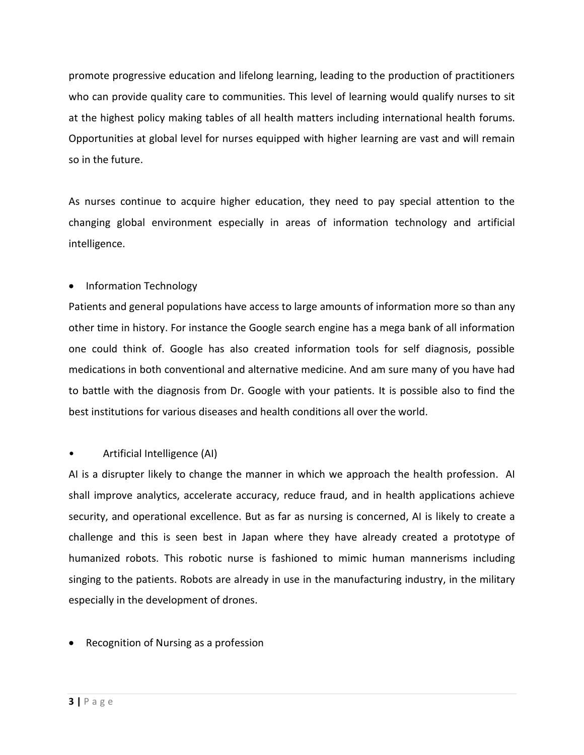promote progressive education and lifelong learning, leading to the production of practitioners who can provide quality care to communities. This level of learning would qualify nurses to sit at the highest policy making tables of all health matters including international health forums. Opportunities at global level for nurses equipped with higher learning are vast and will remain so in the future.

As nurses continue to acquire higher education, they need to pay special attention to the changing global environment especially in areas of information technology and artificial intelligence.

## • Information Technology

Patients and general populations have access to large amounts of information more so than any other time in history. For instance the Google search engine has a mega bank of all information one could think of. Google has also created information tools for self diagnosis, possible medications in both conventional and alternative medicine. And am sure many of you have had to battle with the diagnosis from Dr. Google with your patients. It is possible also to find the best institutions for various diseases and health conditions all over the world.

### • Artificial Intelligence (AI)

AI is a disrupter likely to change the manner in which we approach the health profession. AI shall improve analytics, accelerate accuracy, reduce fraud, and in health applications achieve security, and operational excellence. But as far as nursing is concerned, AI is likely to create a challenge and this is seen best in Japan where they have already created a prototype of humanized robots. This robotic nurse is fashioned to mimic human mannerisms including singing to the patients. Robots are already in use in the manufacturing industry, in the military especially in the development of drones.

• Recognition of Nursing as a profession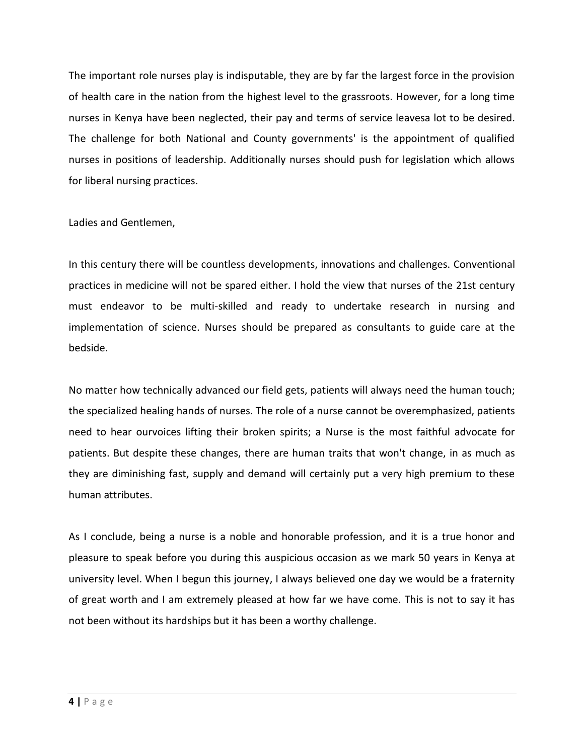The important role nurses play is indisputable, they are by far the largest force in the provision of health care in the nation from the highest level to the grassroots. However, for a long time nurses in Kenya have been neglected, their pay and terms of service leavesa lot to be desired. The challenge for both National and County governments' is the appointment of qualified nurses in positions of leadership. Additionally nurses should push for legislation which allows for liberal nursing practices.

Ladies and Gentlemen,

In this century there will be countless developments, innovations and challenges. Conventional practices in medicine will not be spared either. I hold the view that nurses of the 21st century must endeavor to be multi-skilled and ready to undertake research in nursing and implementation of science. Nurses should be prepared as consultants to guide care at the bedside.

No matter how technically advanced our field gets, patients will always need the human touch; the specialized healing hands of nurses. The role of a nurse cannot be overemphasized, patients need to hear ourvoices lifting their broken spirits; a Nurse is the most faithful advocate for patients. But despite these changes, there are human traits that won't change, in as much as they are diminishing fast, supply and demand will certainly put a very high premium to these human attributes.

As I conclude, being a nurse is a noble and honorable profession, and it is a true honor and pleasure to speak before you during this auspicious occasion as we mark 50 years in Kenya at university level. When I begun this journey, I always believed one day we would be a fraternity of great worth and I am extremely pleased at how far we have come. This is not to say it has not been without its hardships but it has been a worthy challenge.